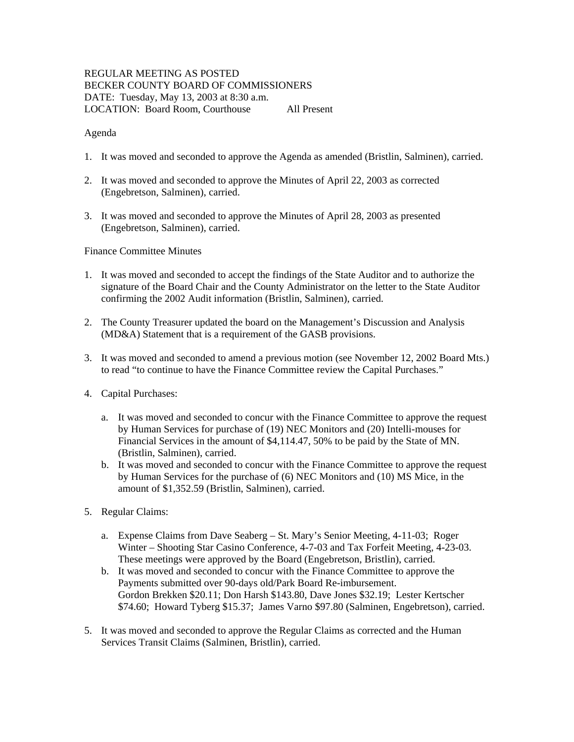# REGULAR MEETING AS POSTED BECKER COUNTY BOARD OF COMMISSIONERS DATE: Tuesday, May 13, 2003 at 8:30 a.m. LOCATION: Board Room, Courthouse All Present

#### Agenda

- 1. It was moved and seconded to approve the Agenda as amended (Bristlin, Salminen), carried.
- 2. It was moved and seconded to approve the Minutes of April 22, 2003 as corrected (Engebretson, Salminen), carried.
- 3. It was moved and seconded to approve the Minutes of April 28, 2003 as presented (Engebretson, Salminen), carried.

Finance Committee Minutes

- 1. It was moved and seconded to accept the findings of the State Auditor and to authorize the signature of the Board Chair and the County Administrator on the letter to the State Auditor confirming the 2002 Audit information (Bristlin, Salminen), carried.
- 2. The County Treasurer updated the board on the Management's Discussion and Analysis (MD&A) Statement that is a requirement of the GASB provisions.
- 3. It was moved and seconded to amend a previous motion (see November 12, 2002 Board Mts.) to read "to continue to have the Finance Committee review the Capital Purchases."
- 4. Capital Purchases:
	- a. It was moved and seconded to concur with the Finance Committee to approve the request by Human Services for purchase of (19) NEC Monitors and (20) Intelli-mouses for Financial Services in the amount of \$4,114.47, 50% to be paid by the State of MN. (Bristlin, Salminen), carried.
	- b. It was moved and seconded to concur with the Finance Committee to approve the request by Human Services for the purchase of (6) NEC Monitors and (10) MS Mice, in the amount of \$1,352.59 (Bristlin, Salminen), carried.
- 5. Regular Claims:
	- a. Expense Claims from Dave Seaberg St. Mary's Senior Meeting, 4-11-03; Roger Winter – Shooting Star Casino Conference, 4-7-03 and Tax Forfeit Meeting, 4-23-03. These meetings were approved by the Board (Engebretson, Bristlin), carried.
	- b. It was moved and seconded to concur with the Finance Committee to approve the Payments submitted over 90-days old/Park Board Re-imbursement. Gordon Brekken \$20.11; Don Harsh \$143.80, Dave Jones \$32.19; Lester Kertscher \$74.60; Howard Tyberg \$15.37; James Varno \$97.80 (Salminen, Engebretson), carried.
- 5. It was moved and seconded to approve the Regular Claims as corrected and the Human Services Transit Claims (Salminen, Bristlin), carried.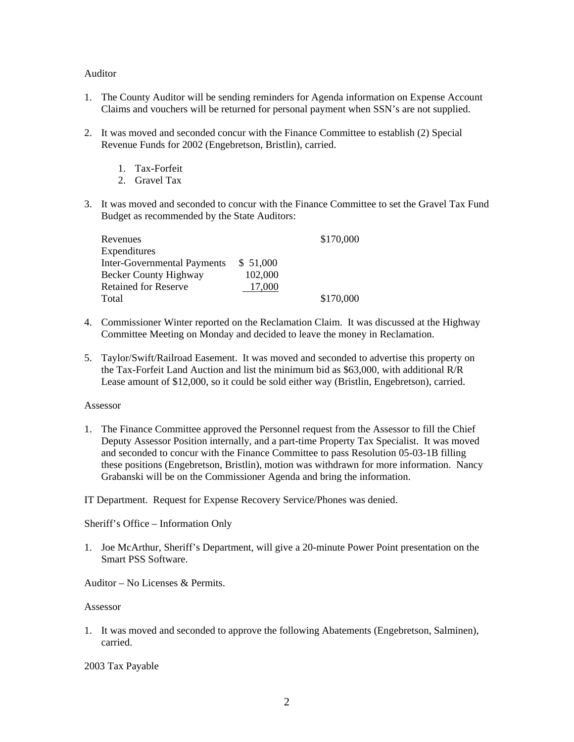#### Auditor

- 1. The County Auditor will be sending reminders for Agenda information on Expense Account Claims and vouchers will be returned for personal payment when SSN's are not supplied.
- 2. It was moved and seconded concur with the Finance Committee to establish (2) Special Revenue Funds for 2002 (Engebretson, Bristlin), carried.
	- 1. Tax-Forfeit
	- 2. Gravel Tax
- 3. It was moved and seconded to concur with the Finance Committee to set the Gravel Tax Fund Budget as recommended by the State Auditors:

| Revenues                           |          | \$170,000 |
|------------------------------------|----------|-----------|
| Expenditures                       |          |           |
| <b>Inter-Governmental Payments</b> | \$51,000 |           |
| <b>Becker County Highway</b>       | 102,000  |           |
| <b>Retained for Reserve</b>        | 17,000   |           |
| Total                              |          | \$170,000 |

- 4. Commissioner Winter reported on the Reclamation Claim. It was discussed at the Highway Committee Meeting on Monday and decided to leave the money in Reclamation.
- 5. Taylor/Swift/Railroad Easement. It was moved and seconded to advertise this property on the Tax-Forfeit Land Auction and list the minimum bid as \$63,000, with additional R/R Lease amount of \$12,000, so it could be sold either way (Bristlin, Engebretson), carried.

#### Assessor

1. The Finance Committee approved the Personnel request from the Assessor to fill the Chief Deputy Assessor Position internally, and a part-time Property Tax Specialist. It was moved and seconded to concur with the Finance Committee to pass Resolution 05-03-1B filling these positions (Engebretson, Bristlin), motion was withdrawn for more information. Nancy Grabanski will be on the Commissioner Agenda and bring the information.

IT Department. Request for Expense Recovery Service/Phones was denied.

Sheriff's Office – Information Only

1. Joe McArthur, Sheriff's Department, will give a 20-minute Power Point presentation on the Smart PSS Software.

Auditor – No Licenses & Permits.

Assessor

1. It was moved and seconded to approve the following Abatements (Engebretson, Salminen), carried.

2003 Tax Payable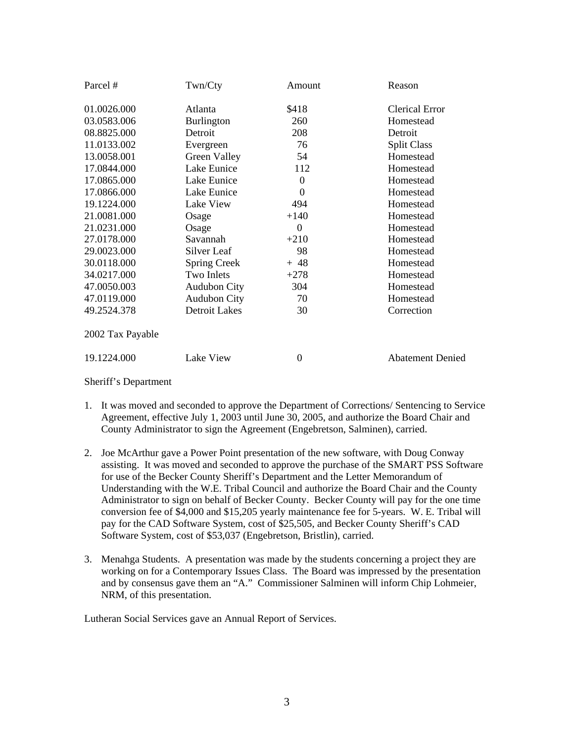| Parcel #         | Twn/Cty              | Amount           | Reason                  |
|------------------|----------------------|------------------|-------------------------|
| 01.0026.000      | Atlanta              | \$418            | <b>Clerical Error</b>   |
| 03.0583.006      | <b>Burlington</b>    | 260              | Homestead               |
| 08.8825.000      | Detroit              | 208              | Detroit                 |
| 11.0133.002      | Evergreen            | 76               | <b>Split Class</b>      |
| 13.0058.001      | Green Valley         | 54               | Homestead               |
| 17.0844.000      | Lake Eunice          | 112              | Homestead               |
| 17.0865.000      | Lake Eunice          | $\boldsymbol{0}$ | Homestead               |
| 17.0866.000      | Lake Eunice          | 0                | Homestead               |
| 19.1224.000      | Lake View            | 494              | Homestead               |
| 21.0081.000      | Osage                | $+140$           | Homestead               |
| 21.0231.000      | Osage                | $\theta$         | Homestead               |
| 27.0178.000      | Savannah             | $+210$           | Homestead               |
| 29.0023.000      | Silver Leaf          | 98               | Homestead               |
| 30.0118.000      | Spring Creek         | $+ 48$           | Homestead               |
| 34.0217.000      | Two Inlets           | $+278$           | Homestead               |
| 47.0050.003      | Audubon City         | 304              | Homestead               |
| 47.0119.000      | <b>Audubon City</b>  | 70               | Homestead               |
| 49.2524.378      | <b>Detroit Lakes</b> | 30               | Correction              |
| 2002 Tax Payable |                      |                  |                         |
| 19.1224.000      | Lake View            | $\overline{0}$   | <b>Abatement Denied</b> |

Sheriff's Department

- 1. It was moved and seconded to approve the Department of Corrections/ Sentencing to Service Agreement, effective July 1, 2003 until June 30, 2005, and authorize the Board Chair and County Administrator to sign the Agreement (Engebretson, Salminen), carried.
- 2. Joe McArthur gave a Power Point presentation of the new software, with Doug Conway assisting. It was moved and seconded to approve the purchase of the SMART PSS Software for use of the Becker County Sheriff's Department and the Letter Memorandum of Understanding with the W.E. Tribal Council and authorize the Board Chair and the County Administrator to sign on behalf of Becker County. Becker County will pay for the one time conversion fee of \$4,000 and \$15,205 yearly maintenance fee for 5-years. W. E. Tribal will pay for the CAD Software System, cost of \$25,505, and Becker County Sheriff's CAD Software System, cost of \$53,037 (Engebretson, Bristlin), carried.
- 3. Menahga Students. A presentation was made by the students concerning a project they are working on for a Contemporary Issues Class. The Board was impressed by the presentation and by consensus gave them an "A." Commissioner Salminen will inform Chip Lohmeier, NRM, of this presentation.

Lutheran Social Services gave an Annual Report of Services.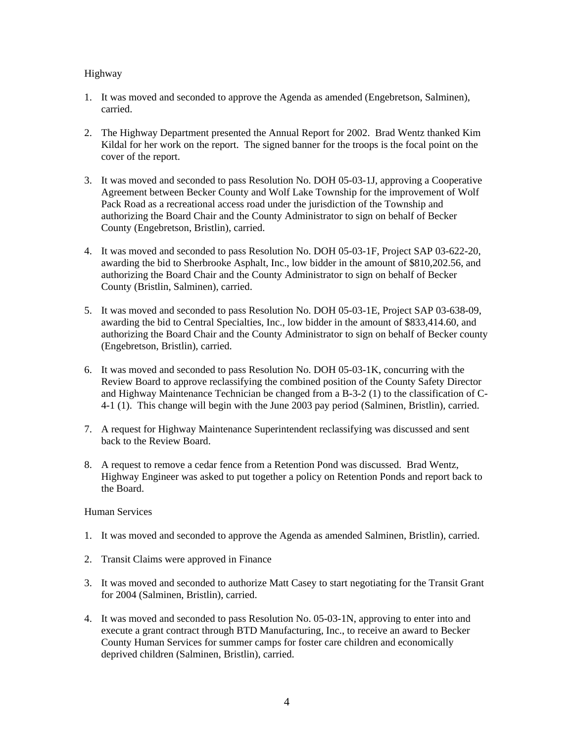# Highway

- 1. It was moved and seconded to approve the Agenda as amended (Engebretson, Salminen), carried.
- 2. The Highway Department presented the Annual Report for 2002. Brad Wentz thanked Kim Kildal for her work on the report. The signed banner for the troops is the focal point on the cover of the report.
- 3. It was moved and seconded to pass Resolution No. DOH 05-03-1J, approving a Cooperative Agreement between Becker County and Wolf Lake Township for the improvement of Wolf Pack Road as a recreational access road under the jurisdiction of the Township and authorizing the Board Chair and the County Administrator to sign on behalf of Becker County (Engebretson, Bristlin), carried.
- 4. It was moved and seconded to pass Resolution No. DOH 05-03-1F, Project SAP 03-622-20, awarding the bid to Sherbrooke Asphalt, Inc., low bidder in the amount of \$810,202.56, and authorizing the Board Chair and the County Administrator to sign on behalf of Becker County (Bristlin, Salminen), carried.
- 5. It was moved and seconded to pass Resolution No. DOH 05-03-1E, Project SAP 03-638-09, awarding the bid to Central Specialties, Inc., low bidder in the amount of \$833,414.60, and authorizing the Board Chair and the County Administrator to sign on behalf of Becker county (Engebretson, Bristlin), carried.
- 6. It was moved and seconded to pass Resolution No. DOH 05-03-1K, concurring with the Review Board to approve reclassifying the combined position of the County Safety Director and Highway Maintenance Technician be changed from a B-3-2 (1) to the classification of C-4-1 (1). This change will begin with the June 2003 pay period (Salminen, Bristlin), carried.
- 7. A request for Highway Maintenance Superintendent reclassifying was discussed and sent back to the Review Board.
- 8. A request to remove a cedar fence from a Retention Pond was discussed. Brad Wentz, Highway Engineer was asked to put together a policy on Retention Ponds and report back to the Board.

## Human Services

- 1. It was moved and seconded to approve the Agenda as amended Salminen, Bristlin), carried.
- 2. Transit Claims were approved in Finance
- 3. It was moved and seconded to authorize Matt Casey to start negotiating for the Transit Grant for 2004 (Salminen, Bristlin), carried.
- 4. It was moved and seconded to pass Resolution No. 05-03-1N, approving to enter into and execute a grant contract through BTD Manufacturing, Inc., to receive an award to Becker County Human Services for summer camps for foster care children and economically deprived children (Salminen, Bristlin), carried.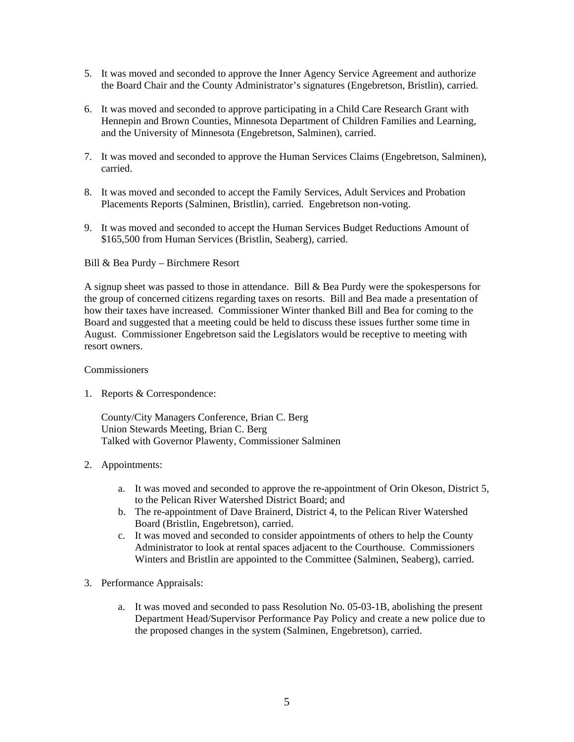- 5. It was moved and seconded to approve the Inner Agency Service Agreement and authorize the Board Chair and the County Administrator's signatures (Engebretson, Bristlin), carried.
- 6. It was moved and seconded to approve participating in a Child Care Research Grant with Hennepin and Brown Counties, Minnesota Department of Children Families and Learning, and the University of Minnesota (Engebretson, Salminen), carried.
- 7. It was moved and seconded to approve the Human Services Claims (Engebretson, Salminen), carried.
- 8. It was moved and seconded to accept the Family Services, Adult Services and Probation Placements Reports (Salminen, Bristlin), carried. Engebretson non-voting.
- 9. It was moved and seconded to accept the Human Services Budget Reductions Amount of \$165,500 from Human Services (Bristlin, Seaberg), carried.

Bill & Bea Purdy – Birchmere Resort

A signup sheet was passed to those in attendance. Bill & Bea Purdy were the spokespersons for the group of concerned citizens regarding taxes on resorts. Bill and Bea made a presentation of how their taxes have increased. Commissioner Winter thanked Bill and Bea for coming to the Board and suggested that a meeting could be held to discuss these issues further some time in August. Commissioner Engebretson said the Legislators would be receptive to meeting with resort owners.

#### Commissioners

1. Reports & Correspondence:

County/City Managers Conference, Brian C. Berg Union Stewards Meeting, Brian C. Berg Talked with Governor Plawenty, Commissioner Salminen

- 2. Appointments:
	- a. It was moved and seconded to approve the re-appointment of Orin Okeson, District 5, to the Pelican River Watershed District Board; and
	- b. The re-appointment of Dave Brainerd, District 4, to the Pelican River Watershed Board (Bristlin, Engebretson), carried.
	- c. It was moved and seconded to consider appointments of others to help the County Administrator to look at rental spaces adjacent to the Courthouse. Commissioners Winters and Bristlin are appointed to the Committee (Salminen, Seaberg), carried.
- 3. Performance Appraisals:
	- a. It was moved and seconded to pass Resolution No. 05-03-1B, abolishing the present Department Head/Supervisor Performance Pay Policy and create a new police due to the proposed changes in the system (Salminen, Engebretson), carried.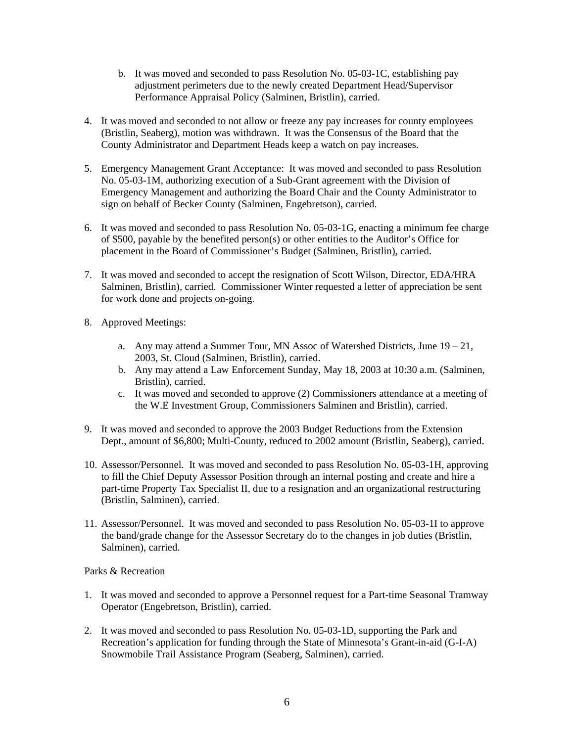- b. It was moved and seconded to pass Resolution No. 05-03-1C, establishing pay adjustment perimeters due to the newly created Department Head/Supervisor Performance Appraisal Policy (Salminen, Bristlin), carried.
- 4. It was moved and seconded to not allow or freeze any pay increases for county employees (Bristlin, Seaberg), motion was withdrawn. It was the Consensus of the Board that the County Administrator and Department Heads keep a watch on pay increases.
- 5. Emergency Management Grant Acceptance: It was moved and seconded to pass Resolution No. 05-03-1M, authorizing execution of a Sub-Grant agreement with the Division of Emergency Management and authorizing the Board Chair and the County Administrator to sign on behalf of Becker County (Salminen, Engebretson), carried.
- 6. It was moved and seconded to pass Resolution No. 05-03-1G, enacting a minimum fee charge of \$500, payable by the benefited person(s) or other entities to the Auditor's Office for placement in the Board of Commissioner's Budget (Salminen, Bristlin), carried.
- 7. It was moved and seconded to accept the resignation of Scott Wilson, Director, EDA/HRA Salminen, Bristlin), carried. Commissioner Winter requested a letter of appreciation be sent for work done and projects on-going.
- 8. Approved Meetings:
	- a. Any may attend a Summer Tour, MN Assoc of Watershed Districts, June  $19 21$ , 2003, St. Cloud (Salminen, Bristlin), carried.
	- b. Any may attend a Law Enforcement Sunday, May 18, 2003 at 10:30 a.m. (Salminen, Bristlin), carried.
	- c. It was moved and seconded to approve (2) Commissioners attendance at a meeting of the W.E Investment Group, Commissioners Salminen and Bristlin), carried.
- 9. It was moved and seconded to approve the 2003 Budget Reductions from the Extension Dept., amount of \$6,800; Multi-County, reduced to 2002 amount (Bristlin, Seaberg), carried.
- 10. Assessor/Personnel. It was moved and seconded to pass Resolution No. 05-03-1H, approving to fill the Chief Deputy Assessor Position through an internal posting and create and hire a part-time Property Tax Specialist II, due to a resignation and an organizational restructuring (Bristlin, Salminen), carried.
- 11. Assessor/Personnel. It was moved and seconded to pass Resolution No. 05-03-1I to approve the band/grade change for the Assessor Secretary do to the changes in job duties (Bristlin, Salminen), carried.

## Parks & Recreation

- 1. It was moved and seconded to approve a Personnel request for a Part-time Seasonal Tramway Operator (Engebretson, Bristlin), carried.
- 2. It was moved and seconded to pass Resolution No. 05-03-1D, supporting the Park and Recreation's application for funding through the State of Minnesota's Grant-in-aid (G-I-A) Snowmobile Trail Assistance Program (Seaberg, Salminen), carried.